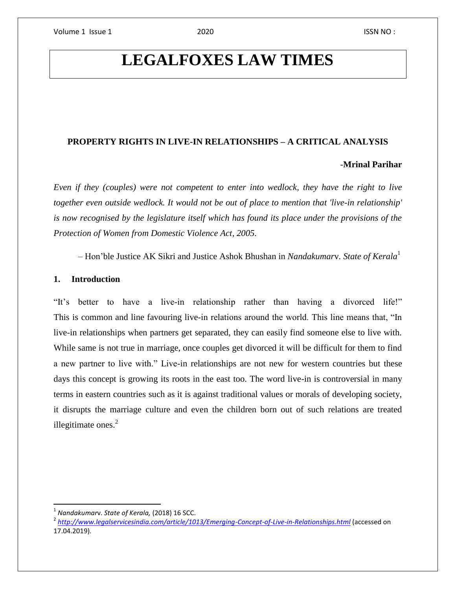# **LEGALFOXES LAW TIMES**

## **PROPERTY RIGHTS IN LIVE-IN RELATIONSHIPS – A CRITICAL ANALYSIS**

#### -**Mrinal Parihar**

*Even if they (couples) were not competent to enter into wedlock, they have the right to live together even outside wedlock. It would not be out of place to mention that 'live-in relationship' is now recognised by the legislature itself which has found its place under the provisions of the Protection of Women from Domestic Violence Act, 2005.*

 *–* Hon'ble Justice AK Sikri and Justice Ashok Bhushan in *Nandakumar*v*. State of Kerala*<sup>1</sup>

#### **1. Introduction**

"It's better to have a live-in relationship rather than having a divorced life!" This is common and line favouring live-in relations around the world. This line means that, "In live-in relationships when partners get separated, they can easily find someone else to live with. While same is not true in marriage, once couples get divorced it will be difficult for them to find a new partner to live with." Live-in relationships are not new for western countries but these days this concept is growing its roots in the east too. The word live-in is controversial in many terms in eastern countries such as it is against traditional values or morals of developing society, it disrupts the marriage culture and even the children born out of such relations are treated illegitimate ones. $2$ 

<sup>1</sup> *Nandakumar*v. *State of Kerala,* (2018) 16 SCC.

<sup>2</sup> *<http://www.legalservicesindia.com/article/1013/Emerging-Concept-of-Live-in-Relationships.html>* (accessed on 17.04.2019).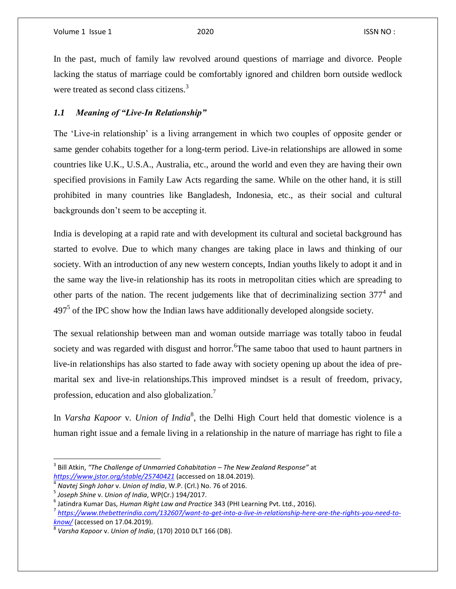In the past, much of family law revolved around questions of marriage and divorce. People lacking the status of marriage could be comfortably ignored and children born outside wedlock were treated as second class citizens.<sup>3</sup>

# *1.1 Meaning of "Live-In Relationship"*

The 'Live-in relationship' is a living arrangement in which two couples of opposite gender or same gender cohabits together for a long-term period. Live-in relationships are allowed in some countries like U.K., U.S.A., Australia, etc., around the world and even they are having their own specified provisions in Family Law Acts regarding the same. While on the other hand, it is still prohibited in many countries like Bangladesh, Indonesia, etc., as their social and cultural backgrounds don't seem to be accepting it.

India is developing at a rapid rate and with development its cultural and societal background has started to evolve. Due to which many changes are taking place in laws and thinking of our society. With an introduction of any new western concepts, Indian youths likely to adopt it and in the same way the live-in relationship has its roots in metropolitan cities which are spreading to other parts of the nation. The recent judgements like that of decriminalizing section  $377<sup>4</sup>$  and  $497<sup>5</sup>$  of the IPC show how the Indian laws have additionally developed alongside society.

The sexual relationship between man and woman outside marriage was totally taboo in feudal society and was regarded with disgust and horror. <sup>6</sup>The same taboo that used to haunt partners in live-in relationships has also started to fade away with society opening up about the idea of premarital sex and live-in relationships.This improved mindset is a result of freedom, privacy, profession, education and also globalization.<sup>7</sup>

In *Varsha Kapoor* v*. Union of India*<sup>8</sup> , the Delhi High Court held that domestic violence is a human right issue and a female living in a relationship in the nature of marriage has right to file a

<sup>3</sup> Bill Atkin, *"The Challenge of Unmarried Cohabitation – The New Zealand Response"* at *<https://www.jstor.org/stable/25740421>* (accessed on 18.04.2019).

<sup>4</sup> *Navtej Singh Johar* v. *Union of India*, W.P. (Crl.) No. 76 of 2016.

<sup>5</sup> *Joseph Shine* v. *Union of India*, WP(Cr.) 194/2017.

<sup>6</sup> Jatindra Kumar Das, *Human Right Law and Practice* 343 (PHI Learning Pvt. Ltd., 2016).

<sup>7</sup> *[https://www.thebetterindia.com/132607/want-to-get-into-a-live-in-relationship-here-are-the-rights-you-need-to](https://www.thebetterindia.com/132607/want-to-get-into-a-live-in-relationship-here-are-the-rights-you-need-to-know/)[know/](https://www.thebetterindia.com/132607/want-to-get-into-a-live-in-relationship-here-are-the-rights-you-need-to-know/)* (accessed on 17.04.2019).

<sup>8</sup> *Varsha Kapoor* v. *Union of India*, (170) 2010 DLT 166 (DB).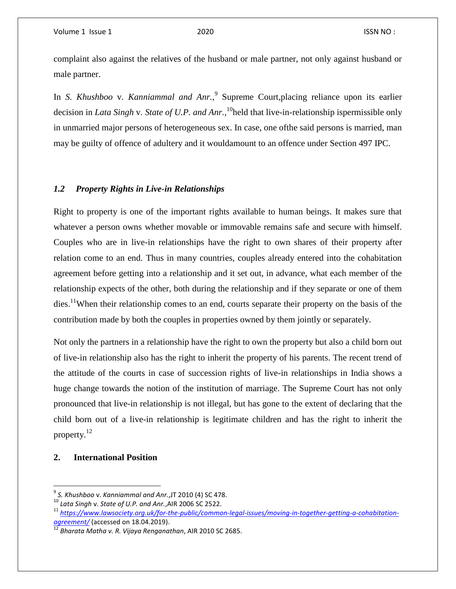complaint also against the relatives of the husband or male partner, not only against husband or male partner.

In *S. Khushboo* v*. Kanniammal and Anr.,* 9 Supreme Court,placing reliance upon its earlier decision in *Lata Singh* v*. State of U.P. and Anr.,* <sup>10</sup>held that live-in-relationship ispermissible only in unmarried major persons of heterogeneous sex. In case, one ofthe said persons is married, man may be guilty of offence of adultery and it wouldamount to an offence under Section 497 IPC.

#### *1.2 Property Rights in Live-in Relationships*

Right to property is one of the important rights available to human beings. It makes sure that whatever a person owns whether movable or immovable remains safe and secure with himself. Couples who are in live-in relationships have the right to own shares of their property after relation come to an end. Thus in many countries, couples already entered into the cohabitation agreement before getting into a relationship and it set out, in advance, what each member of the relationship expects of the other, both during the relationship and if they separate or one of them  $\text{dies.}^{11}$ When their relationship comes to an end, courts separate their property on the basis of the contribution made by both the couples in properties owned by them jointly or separately.

Not only the partners in a relationship have the right to own the property but also a child born out of live-in relationship also has the right to inherit the property of his parents. The recent trend of the attitude of the courts in case of succession rights of live-in relationships in India shows a huge change towards the notion of the institution of marriage. The Supreme Court has not only pronounced that live-in relationship is not illegal, but has gone to the extent of declaring that the child born out of a live-in relationship is legitimate children and has the right to inherit the property.<sup>12</sup>

### **2. International Position**

l

<sup>9</sup> *S. Khushboo* v. *Kanniammal and Anr.*,JT 2010 (4) SC 478.

<sup>10</sup> *Lata Singh* v. *State of U.P. and Anr.*,AIR 2006 SC 2522.

<sup>&</sup>lt;sup>11</sup> [https://www.lawsociety.org.uk/for-the-public/common-legal-issues/moving-in-together-getting-a-cohabitation](https://www.lawsociety.org.uk/for-the-public/common-legal-issues/moving-in-together-getting-a-cohabitation-agreement/)*[agreement/](https://www.lawsociety.org.uk/for-the-public/common-legal-issues/moving-in-together-getting-a-cohabitation-agreement/)* (accessed on 18.04.2019).

<sup>12</sup> *Bharata Matha v. R. Vijaya Renganathan*, AIR 2010 SC 2685.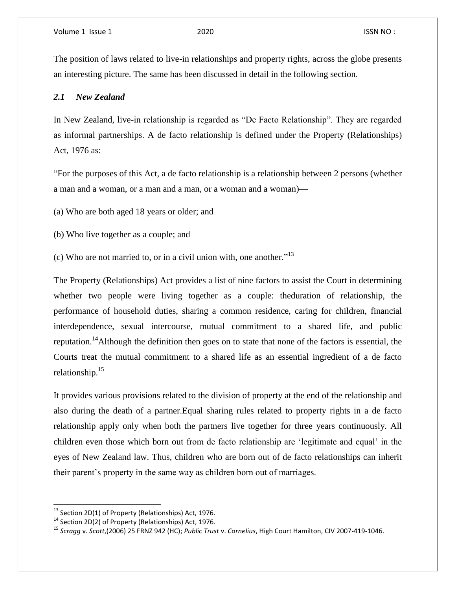The position of laws related to live-in relationships and property rights, across the globe presents an interesting picture. The same has been discussed in detail in the following section.

#### *2.1 New Zealand*

In New Zealand, live-in relationship is regarded as "De Facto Relationship". They are regarded as informal partnerships. A de facto relationship is defined under the Property (Relationships) Act, 1976 as:

"For the purposes of this Act, a de facto relationship is a relationship between 2 persons (whether a man and a woman, or a man and a man, or a woman and a woman)—

(a) Who are both aged 18 years or older; and

(b) Who live together as a couple; and

(c) Who are not married to, or in a civil union with, one another." 13

The Property (Relationships) Act provides a list of nine factors to assist the Court in determining whether two people were living together as a couple: theduration of relationship, the performance of household duties, sharing a common residence, caring for children, financial interdependence, sexual intercourse, mutual commitment to a shared life, and public reputation.<sup>14</sup>Although the definition then goes on to state that none of the factors is essential, the Courts treat the mutual commitment to a shared life as an essential ingredient of a de facto relationship.<sup>15</sup>

It provides various provisions related to the division of property at the end of the relationship and also during the death of a partner.Equal sharing rules related to property rights in a de facto relationship apply only when both the partners live together for three years continuously. All children even those which born out from de facto relationship are 'legitimate and equal' in the eyes of New Zealand law. Thus, children who are born out of de facto relationships can inherit their parent's property in the same way as children born out of marriages.

 $^{13}$  Section 2D(1) of Property (Relationships) Act, 1976.

 $14$  Section 2D(2) of Property (Relationships) Act, 1976.

<sup>15</sup> *Scragg* v. *Scott*,(2006) 25 FRNZ 942 (HC); *Public Trust* v. *Cornelius*, High Court Hamilton, CIV 2007-419-1046.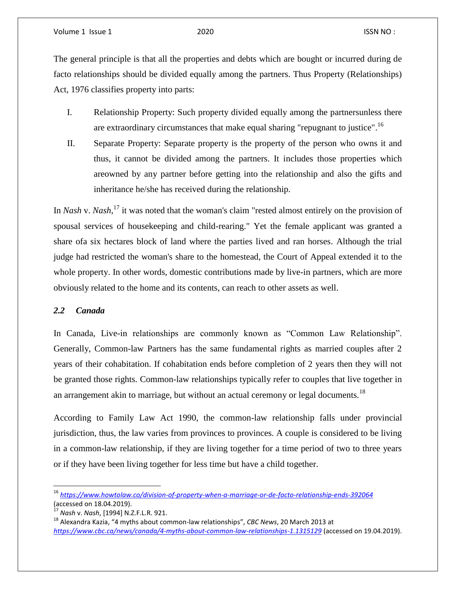The general principle is that all the properties and debts which are bought or incurred during de facto relationships should be divided equally among the partners. Thus Property (Relationships) Act, 1976 classifies property into parts:

- I. Relationship Property: Such property divided equally among the partnersunless there are extraordinary circumstances that make equal sharing "repugnant to justice".<sup>16</sup>
- II. Separate Property: Separate property is the property of the person who owns it and thus, it cannot be divided among the partners. It includes those properties which areowned by any partner before getting into the relationship and also the gifts and inheritance he/she has received during the relationship.

In *Nash* v. *Nash*, <sup>17</sup> it was noted that the woman's claim "rested almost entirely on the provision of spousal services of housekeeping and child-rearing." Yet the female applicant was granted a share ofa six hectares block of land where the parties lived and ran horses. Although the trial judge had restricted the woman's share to the homestead, the Court of Appeal extended it to the whole property. In other words, domestic contributions made by live-in partners, which are more obviously related to the home and its contents, can reach to other assets as well.

### *2.2 Canada*

l

In Canada, Live-in relationships are commonly known as "Common Law Relationship". Generally, Common-law Partners has the same fundamental rights as married couples after 2 years of their cohabitation. If cohabitation ends before completion of 2 years then they will not be granted those rights. Common-law relationships typically refer to couples that live together in an arrangement akin to marriage, but without an actual ceremony or legal documents.<sup>18</sup>

According to Family Law Act 1990, the common-law relationship falls under provincial jurisdiction, thus, the law varies from provinces to provinces. A couple is considered to be living in a common-law relationship, if they are living together for a time period of two to three years or if they have been living together for less time but have a child together.

<sup>16</sup> *<https://www.howtolaw.co/division-of-property-when-a-marriage-or-de-facto-relationship-ends-392064>* (accessed on 18.04.2019).

<sup>17</sup> *Nash* v. *Nash*, [1994] N.Z.F.L.R. 921.

<sup>18</sup> Alexandra Kazia, "4 myths about common-law relationships", *CBC News*, 20 March 2013 at *<https://www.cbc.ca/news/canada/4-myths-about-common-law-relationships-1.1315129>* (accessed on 19.04.2019).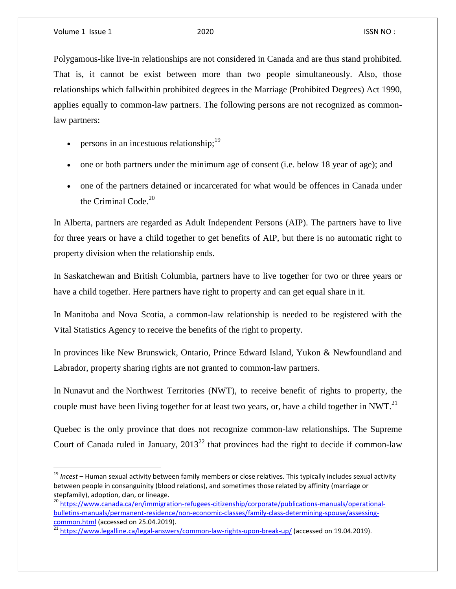$\overline{\phantom{a}}$ 

Polygamous-like live-in relationships are not considered in Canada and are thus stand prohibited. That is, it cannot be exist between more than two people simultaneously. Also, those relationships which fallwithin prohibited degrees in the Marriage (Prohibited Degrees) Act 1990, applies equally to common-law partners. The following persons are not recognized as commonlaw partners:

- persons in an incestuous relationship;  $19$
- one or both partners under the minimum age of consent (i.e. below 18 year of age); and
- one of the partners detained or incarcerated for what would be offences in Canada under the Criminal Code. 20

In Alberta, partners are regarded as Adult Independent Persons (AIP). The partners have to live for three years or have a child together to get benefits of AIP, but there is no automatic right to property division when the relationship ends.

In Saskatchewan and British Columbia, partners have to live together for two or three years or have a child together. Here partners have right to property and can get equal share in it.

In Manitoba and Nova Scotia, a common-law relationship is needed to be registered with the Vital Statistics Agency to receive the benefits of the right to property.

In provinces like New Brunswick, Ontario, Prince Edward Island, Yukon & Newfoundland and Labrador, property sharing rights are not granted to common-law partners.

In Nunavut and the Northwest Territories (NWT), to receive benefit of rights to property, the couple must have been living together for at least two years, or, have a child together in NWT.<sup>21</sup>

Quebec is the only province that does not recognize common-law relationships. The Supreme Court of Canada ruled in January,  $2013^{22}$  that provinces had the right to decide if common-law

<sup>19</sup> *Incest* – Human sexual activity between family members or close relatives. This typically includes sexual activity between people in consanguinity (blood relations), and sometimes those related by affinity (marriage or stepfamily), adoption, clan, or lineage.

<sup>&</sup>lt;sup>20</sup> [https://www.canada.ca/en/immigration-refugees-citizenship/corporate/publications-manuals/operational](https://www.canada.ca/en/immigration-refugees-citizenship/corporate/publications-manuals/operational-bulletins-manuals/permanent-residence/non-economic-classes/family-class-determining-spouse/assessing-common.html)[bulletins-manuals/permanent-residence/non-economic-classes/family-class-determining-spouse/assessing](https://www.canada.ca/en/immigration-refugees-citizenship/corporate/publications-manuals/operational-bulletins-manuals/permanent-residence/non-economic-classes/family-class-determining-spouse/assessing-common.html)[common.html](https://www.canada.ca/en/immigration-refugees-citizenship/corporate/publications-manuals/operational-bulletins-manuals/permanent-residence/non-economic-classes/family-class-determining-spouse/assessing-common.html) (accessed on 25.04.2019).

<sup>&</sup>lt;u>2011. Summership</u> (accessed on 2012).<br><sup>21</sup> https://www.<u>legalline.ca/legal-answers/common-law-rights-upon-break-up/</u> (accessed on 19.04.2019).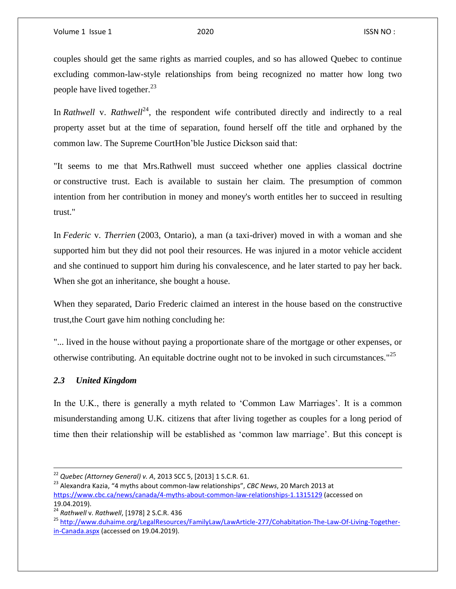couples should get the same rights as married couples, and so has allowed Quebec to continue excluding common-law-style relationships from being recognized no matter how long two people have lived together.<sup>23</sup>

In *Rathwell* v. *Rathwell*<sup>24</sup>, the respondent wife contributed directly and indirectly to a real property asset but at the time of separation, found herself off the title and orphaned by the common law. The Supreme CourtHon'ble Justice Dickson said that:

"It seems to me that Mrs.Rathwell must succeed whether one applies classical doctrine or constructive trust. Each is available to sustain her claim. The presumption of common intention from her contribution in money and money's worth entitles her to succeed in resulting trust."

In *Federic* v. *Therrien* (2003, Ontario), a man (a taxi-driver) moved in with a woman and she supported him but they did not pool their resources. He was injured in a motor vehicle accident and she continued to support him during his convalescence, and he later started to pay her back. When she got an inheritance, she bought a house.

When they separated, Dario Frederic claimed an interest in the house based on the constructive trust,the Court gave him nothing concluding he:

"... lived in the house without paying a proportionate share of the mortgage or other expenses, or otherwise contributing. An equitable doctrine ought not to be invoked in such circumstances."<sup>25</sup>

# *2.3 United Kingdom*

 $\overline{\phantom{a}}$ 

In the U.K., there is generally a myth related to 'Common Law Marriages'. It is a common misunderstanding among U.K. citizens that after living together as couples for a long period of time then their relationship will be established as 'common law marriage'. But this concept is

<sup>22</sup> *Quebec (Attorney General) v. A*, 2013 SCC 5, [2013] 1 S.C.R. 61.

<sup>23</sup> Alexandra Kazia, "4 myths about common-law relationships", *CBC News*, 20 March 2013 at <https://www.cbc.ca/news/canada/4-myths-about-common-law-relationships-1.1315129> (accessed on 19.04.2019).

<sup>24</sup> *Rathwell* v. *Rathwell*, [1978] 2 S.C.R. 436

<sup>25</sup> [http://www.duhaime.org/LegalResources/FamilyLaw/LawArticle-277/Cohabitation-The-Law-Of-Living-Together](http://www.duhaime.org/LegalResources/FamilyLaw/LawArticle-277/Cohabitation-The-Law-Of-Living-Together-in-Canada.aspx)[in-Canada.aspx](http://www.duhaime.org/LegalResources/FamilyLaw/LawArticle-277/Cohabitation-The-Law-Of-Living-Together-in-Canada.aspx) (accessed on 19.04.2019).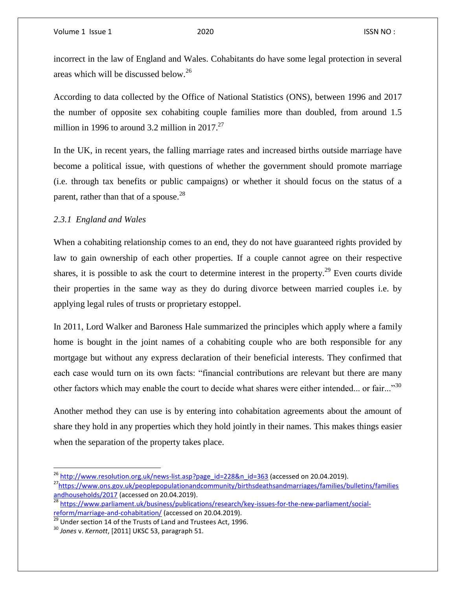incorrect in the law of England and Wales. Cohabitants do have some legal protection in several areas which will be discussed below.<sup>26</sup>

According to data collected by the Office of National Statistics (ONS), between 1996 and 2017 the number of opposite sex cohabiting couple families more than doubled, from around 1.5 million in 1996 to around 3.2 million in 2017. $27$ 

In the UK, in recent years, the falling marriage rates and increased births outside marriage have become a political issue, with questions of whether the government should promote marriage (i.e. through tax benefits or public campaigns) or whether it should focus on the status of a parent, rather than that of a spouse.<sup>28</sup>

# *2.3.1 England and Wales*

When a cohabiting relationship comes to an end, they do not have guaranteed rights provided by law to gain ownership of each other properties. If a couple cannot agree on their respective shares, it is possible to ask the court to determine interest in the property.<sup>29</sup> Even courts divide their properties in the same way as they do during divorce between married couples i.e. by applying legal rules of trusts or proprietary estoppel.

In 2011, Lord Walker and Baroness Hale summarized the principles which apply where a family home is bought in the joint names of a cohabiting couple who are both responsible for any mortgage but without any express declaration of their beneficial interests. They confirmed that each case would turn on its own facts: "financial contributions are relevant but there are many other factors which may enable the court to decide what shares were either intended... or fair..."<sup>30</sup>

Another method they can use is by entering into cohabitation agreements about the amount of share they hold in any properties which they hold jointly in their names. This makes things easier when the separation of the property takes place.

<sup>&</sup>lt;sup>26</sup> [http://www.resolution.org.uk/news-list.asp?page\\_id=228&n\\_id=363](http://www.resolution.org.uk/news-list.asp?page_id=228&n_id=363) (accessed on 20.04.2019).

<sup>&</sup>lt;sup>27</sup>[https://www.ons.gov.uk/peoplepopulationandcommunity/birthsdeathsandmarriages/families/bulletins/families](https://www.ons.gov.uk/peoplepopulationandcommunity/birthsdeathsandmarriages/families/bulletins/familiesandhouseholds/2017) [andhouseholds/2017](https://www.ons.gov.uk/peoplepopulationandcommunity/birthsdeathsandmarriages/families/bulletins/familiesandhouseholds/2017) (accessed on 20.04.2019).

and business 2011 (accessed on 2012 market 1, 1992).<br><sup>28</sup> [https://www.parliament.uk/business/publications/research/key-issues-for-the-new-parliament/social](https://www.parliament.uk/business/publications/research/key-issues-for-the-new-parliament/social-reform/marriage-and-cohabitation/)[reform/marriage-and-cohabitation/](https://www.parliament.uk/business/publications/research/key-issues-for-the-new-parliament/social-reform/marriage-and-cohabitation/) (accessed on 20.04.2019).

 $\frac{29}{29}$  Under section 14 of the Trusts of Land and Trustees Act, 1996.

<sup>30</sup> *Jones* v. *Kernott*, [2011] UKSC 53, paragraph 51.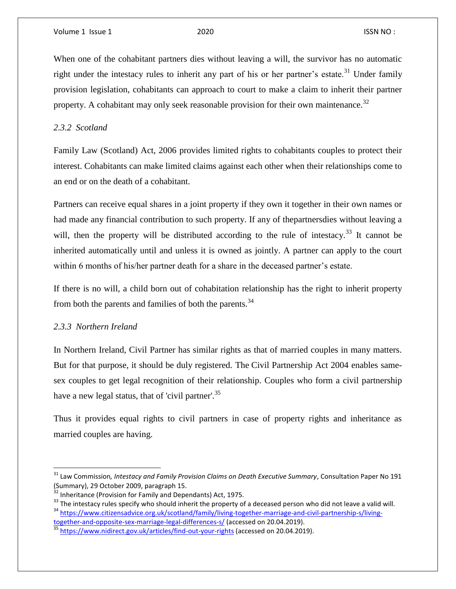When one of the cohabitant partners dies without leaving a will, the survivor has no automatic right under the intestacy rules to inherit any part of his or her partner's estate.<sup>31</sup> Under family provision legislation, cohabitants can approach to court to make a claim to inherit their partner property. A cohabitant may only seek reasonable provision for their own maintenance.<sup>32</sup>

*2.3.2 Scotland*

Family Law (Scotland) Act, 2006 provides limited rights to cohabitants couples to protect their interest. Cohabitants can make limited claims against each other when their relationships come to an end or on the death of a cohabitant.

Partners can receive equal shares in a joint property if they own it together in their own names or had made any financial contribution to such property. If any of thepartnersdies without leaving a will, then the property will be distributed according to the rule of intestacy.<sup>33</sup> It cannot be inherited automatically until and unless it is owned as jointly. A partner can apply to the court within 6 months of his/her partner death for a share in the deceased partner's estate.

If there is no will, a child born out of cohabitation relationship has the right to inherit property from both the parents and families of both the parents.<sup>34</sup>

# *2.3.3 Northern Ireland*

 $\overline{\phantom{a}}$ 

In Northern Ireland, Civil Partner has similar rights as that of married couples in many matters. But for that purpose, it should be duly registered. The Civil Partnership Act 2004 enables samesex couples to get legal recognition of their relationship. Couples who form a civil partnership have a new legal status, that of 'civil partner'.<sup>35</sup>

Thus it provides equal rights to civil partners in case of property rights and inheritance as married couples are having.

<sup>&</sup>lt;sup>31</sup> Law Commission*, Intestacy and Family Provision Claims on Death Executive Summary, Consultation Paper No 191* (Summary), 29 October 2009, paragraph 15.

 $32$  Inheritance (Provision for Family and Dependants) Act, 1975.

<sup>&</sup>lt;sup>33</sup> The intestacy rules specify who should inherit the property of a deceased person who did not leave a valid will. <sup>34</sup> [https://www.citizensadvice.org.uk/scotland/family/living-together-marriage-and-civil-partnership-s/living-](https://www.citizensadvice.org.uk/scotland/family/living-together-marriage-and-civil-partnership-s/living-together-and-opposite-sex-marriage-legal-differences-s/)

[together-and-opposite-sex-marriage-legal-differences-s/](https://www.citizensadvice.org.uk/scotland/family/living-together-marriage-and-civil-partnership-s/living-together-and-opposite-sex-marriage-legal-differences-s/) (accessed on 20.04.2019). 35 <https://www.nidirect.gov.uk/articles/find-out-your-rights> (accessed on 20.04.2019).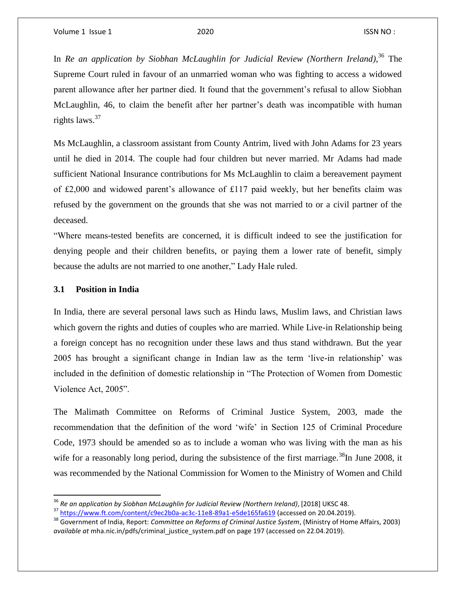In *Re an application by Siobhan McLaughlin for Judicial Review (Northern Ireland)*, <sup>36</sup> The Supreme Court ruled in favour of an unmarried woman who was fighting to access a widowed parent allowance after her partner died. It found that the government's refusal to allow Siobhan McLaughlin, 46, to claim the benefit after her partner's death was incompatible with human rights laws.<sup>37</sup>

Ms McLaughlin, a classroom assistant from County Antrim, lived with John Adams for 23 years until he died in 2014. The couple had four children but never married. Mr Adams had made sufficient National Insurance contributions for Ms McLaughlin to claim a bereavement payment of £2,000 and widowed parent's allowance of £117 paid weekly, but her benefits claim was refused by the government on the grounds that she was not married to or a civil partner of the deceased.

"Where means-tested benefits are concerned, it is difficult indeed to see the justification for denying people and their children benefits, or paying them a lower rate of benefit, simply because the adults are not married to one another," Lady Hale ruled.

### **3.1 Position in India**

 $\overline{a}$ 

In India, there are several personal laws such as Hindu laws, Muslim laws, and Christian laws which govern the rights and duties of couples who are married. While Live-in Relationship being a foreign concept has no recognition under these laws and thus stand withdrawn. But the year 2005 has brought a significant change in Indian law as the term 'live-in relationship' was included in the definition of domestic relationship in "The Protection of Women from Domestic Violence Act, 2005".

The Malimath Committee on Reforms of Criminal Justice System, 2003, made the recommendation that the definition of the word 'wife' in Section 125 of Criminal Procedure Code, 1973 should be amended so as to include a woman who was living with the man as his wife for a reasonably long period, during the subsistence of the first marriage.<sup>38</sup>In June 2008, it was recommended by the National Commission for Women to the Ministry of Women and Child

<sup>36</sup> *Re an application by Siobhan McLaughlin for Judicial Review (Northern Ireland)*, [2018] UKSC 48.

<sup>&</sup>lt;sup>37</sup> <https://www.ft.com/content/c9ec2b0a-ac3c-11e8-89a1-e5de165fa619> (accessed on 20.04.2019).

<sup>38</sup> Government of India, Report: *Committee on Reforms of Criminal Justice System*, (Ministry of Home Affairs, 2003) *available at* mha.nic.in/pdfs/criminal\_justice\_system.pdf on page 197 (accessed on 22.04.2019).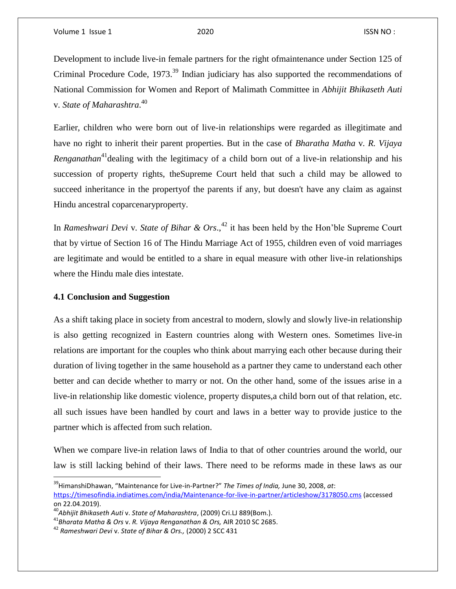Development to include live-in female partners for the right ofmaintenance under Section 125 of Criminal Procedure Code, 1973.<sup>39</sup> Indian judiciary has also supported the recommendations of National Commission for Women and Report of Malimath Committee in *Abhijit Bhikaseth Auti* v*. State of Maharashtra*. 40

Earlier, children who were born out of live-in relationships were regarded as illegitimate and have no right to inherit their parent properties. But in the case of *Bharatha Matha* v*. R. Vijaya Renganathan*<sup>41</sup> dealing with the legitimacy of a child born out of a live-in relationship and his succession of property rights, theSupreme Court held that such a child may be allowed to succeed inheritance in the propertyof the parents if any, but doesn't have any claim as against Hindu ancestral coparcenaryproperty.

In *Rameshwari Devi* v*. State of Bihar & Ors*., <sup>42</sup> it has been held by the Hon'ble Supreme Court that by virtue of Section 16 of The Hindu Marriage Act of 1955, children even of void marriages are legitimate and would be entitled to a share in equal measure with other live-in relationships where the Hindu male dies intestate.

# **4.1 Conclusion and Suggestion**

 $\overline{a}$ 

As a shift taking place in society from ancestral to modern, slowly and slowly live-in relationship is also getting recognized in Eastern countries along with Western ones. Sometimes live-in relations are important for the couples who think about marrying each other because during their duration of living together in the same household as a partner they came to understand each other better and can decide whether to marry or not. On the other hand, some of the issues arise in a live-in relationship like domestic violence, property disputes,a child born out of that relation, etc. all such issues have been handled by court and laws in a better way to provide justice to the partner which is affected from such relation.

When we compare live-in relation laws of India to that of other countries around the world, our law is still lacking behind of their laws. There need to be reforms made in these laws as our

<sup>39</sup>HimanshiDhawan, "Maintenance for Live-in-Partner?" *The Times of India,* June 30, 2008, *at*: <https://timesofindia.indiatimes.com/india/Maintenance-for-live-in-partner/articleshow/3178050.cms> (accessed on 22.04.2019).

<sup>40</sup>*Abhijit Bhikaseth Auti* v. *State of Maharashtra*, (2009) Cri.LJ 889(Bom.).

<sup>41</sup>*Bharata Matha & Ors* v. *R. Vijaya Renganathan & Ors,* AIR 2010 SC 2685.

<sup>42</sup> *Rameshwari Devi* v. *State of Bihar & Ors.,* (2000) 2 SCC 431